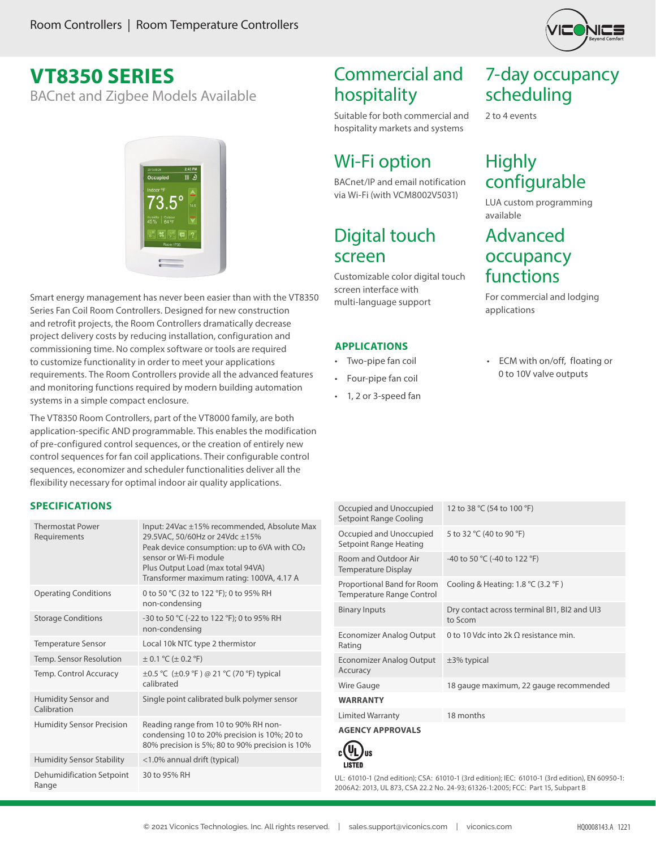

# **VT8350 SERIES**

BACnet and Zigbee Models Available



Smart energy management has never been easier than with the VT8350 Series Fan Coil Room Controllers. Designed for new construction and retrofit projects, the Room Controllers dramatically decrease project delivery costs by reducing installation, configuration and commissioning time. No complex software or tools are required to customize functionality in order to meet your applications requirements. The Room Controllers provide all the advanced features and monitoring functions required by modern building automation systems in a simple compact enclosure.

The VT8350 Room Controllers, part of the VT8000 family, are both application-specific AND programmable. This enables the modification of pre-configured control sequences, or the creation of entirely new control sequences for fan coil applications. Their configurable control sequences, economizer and scheduler functionalities deliver all the flexibility necessary for optimal indoor air quality applications.

#### **SPECIFICATIONS**

| <b>Thermostat Power</b><br>Requirements | Input: 24Vac ±15% recommended, Absolute Max<br>29.5VAC, 50/60Hz or 24Vdc ±15%<br>Peak device consumption: up to 6VA with CO <sub>2</sub><br>sensor or Wi-Fi module<br>Plus Output Load (max total 94VA)<br>Transformer maximum rating: 100VA, 4.17 A |
|-----------------------------------------|------------------------------------------------------------------------------------------------------------------------------------------------------------------------------------------------------------------------------------------------------|
| <b>Operating Conditions</b>             | 0 to 50 °C (32 to 122 °F); 0 to 95% RH<br>non-condensing                                                                                                                                                                                             |
| <b>Storage Conditions</b>               | -30 to 50 °C (-22 to 122 °F); 0 to 95% RH<br>non-condensing                                                                                                                                                                                          |
| <b>Temperature Sensor</b>               | Local 10k NTC type 2 thermistor                                                                                                                                                                                                                      |
| Temp. Sensor Resolution                 | $\pm$ 0.1 °C ( $\pm$ 0.2 °F)                                                                                                                                                                                                                         |
| Temp. Control Accuracy                  | ±0.5 °C (±0.9 °F) @ 21 °C (70 °F) typical<br>calibrated                                                                                                                                                                                              |
| Humidity Sensor and<br>Calibration      | Single point calibrated bulk polymer sensor                                                                                                                                                                                                          |
| <b>Humidity Sensor Precision</b>        | Reading range from 10 to 90% RH non-<br>condensing 10 to 20% precision is 10%; 20 to<br>80% precision is 5%; 80 to 90% precision is 10%                                                                                                              |
| <b>Humidity Sensor Stability</b>        | <1.0% annual drift (typical)                                                                                                                                                                                                                         |
| Dehumidification Setpoint<br>Range      | 30 to 95% RH                                                                                                                                                                                                                                         |

# Commercial and hospitality

Suitable for both commercial and hospitality markets and systems

# Wi-Fi option

BACnet/IP and email notification via Wi-Fi (with VCM8002V5031)

## Digital touch screen

Customizable color digital touch screen interface with multi-language support

#### **APPLICATIONS**

- Two-pipe fan coil
- Four-pipe fan coil
- 1, 2 or 3-speed fan

#### 7-day occupancy scheduling

2 to 4 events

# **Highly** configurable

LUA custom programming available

### Advanced occupancy functions

For commercial and lodging applications

• ECM with on/off, floating or 0 to 10V valve outputs

| Occupied and Unoccupied<br>Setpoint Range Cooling       | 12 to 38 °C (54 to 100 °F)                                             |
|---------------------------------------------------------|------------------------------------------------------------------------|
| Occupied and Unoccupied<br>Setpoint Range Heating       | 5 to 32 °C (40 to 90 °F)                                               |
| Room and Outdoor Air<br><b>Temperature Display</b>      | -40 to 50 °C (-40 to 122 °F)                                           |
| Proportional Band for Room<br>Temperature Range Control | Cooling & Heating: $1.8 \text{ }^{\circ}$ C (3.2 $\text{ }^{\circ}$ F) |
| <b>Binary Inputs</b>                                    | Dry contact across terminal BI1, BI2 and UI3<br>to Scom                |
| Economizer Analog Output<br>Rating                      | 0 to 10 Vdc into 2k $\Omega$ resistance min.                           |
| Economizer Analog Output<br>Accuracy                    | $\pm$ 3% typical                                                       |
| Wire Gauge                                              | 18 gauge maximum, 22 gauge recommended                                 |
| <b>WARRANTY</b>                                         |                                                                        |
| Limited Warranty                                        | 18 months                                                              |
| <b>AGENCY APPROVALS</b>                                 |                                                                        |



UL: 61010-1 (2nd edition); CSA: 61010-1 (3rd edition); IEC: 61010-1 (3rd edition), EN 60950-1: 2006A2: 2013, UL 873, CSA 22.2 No. 24-93; 61326-1:2005; FCC: Part 15, Subpart B